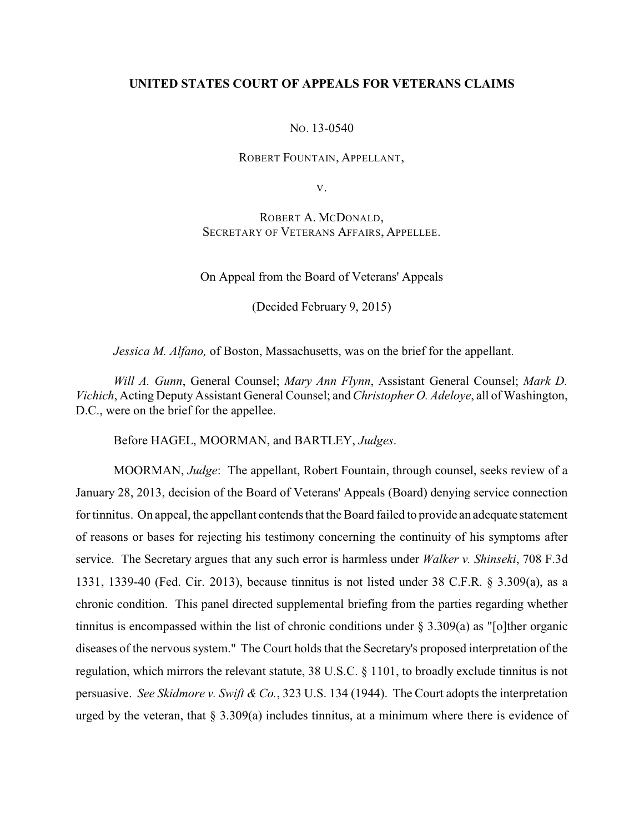# **UNITED STATES COURT OF APPEALS FOR VETERANS CLAIMS**

NO. 13-0540

ROBERT FOUNTAIN, APPELLANT,

V.

ROBERT A. MCDONALD, SECRETARY OF VETERANS AFFAIRS, APPELLEE.

On Appeal from the Board of Veterans' Appeals

(Decided February 9, 2015)

*Jessica M. Alfano,* of Boston, Massachusetts, was on the brief for the appellant.

*Will A. Gunn*, General Counsel; *Mary Ann Flynn*, Assistant General Counsel; *Mark D. Vichich*, Acting Deputy Assistant General Counsel; and *Christopher O. Adeloye*, all of Washington, D.C., were on the brief for the appellee.

Before HAGEL, MOORMAN, and BARTLEY, *Judges*.

MOORMAN, *Judge*: The appellant, Robert Fountain, through counsel, seeks review of a January 28, 2013, decision of the Board of Veterans' Appeals (Board) denying service connection for tinnitus. On appeal, the appellant contends that the Board failed to provide an adequate statement of reasons or bases for rejecting his testimony concerning the continuity of his symptoms after service. The Secretary argues that any such error is harmless under *Walker v. Shinseki*, 708 F.3d 1331, 1339-40 (Fed. Cir. 2013), because tinnitus is not listed under 38 C.F.R. § 3.309(a), as a chronic condition. This panel directed supplemental briefing from the parties regarding whether tinnitus is encompassed within the list of chronic conditions under  $\S 3.309(a)$  as "[o]ther organic diseases of the nervous system." The Court holds that the Secretary's proposed interpretation of the regulation, which mirrors the relevant statute, 38 U.S.C. § 1101, to broadly exclude tinnitus is not persuasive. *See Skidmore v. Swift & Co.*, 323 U.S. 134 (1944). The Court adopts the interpretation urged by the veteran, that  $\S 3.309(a)$  includes tinnitus, at a minimum where there is evidence of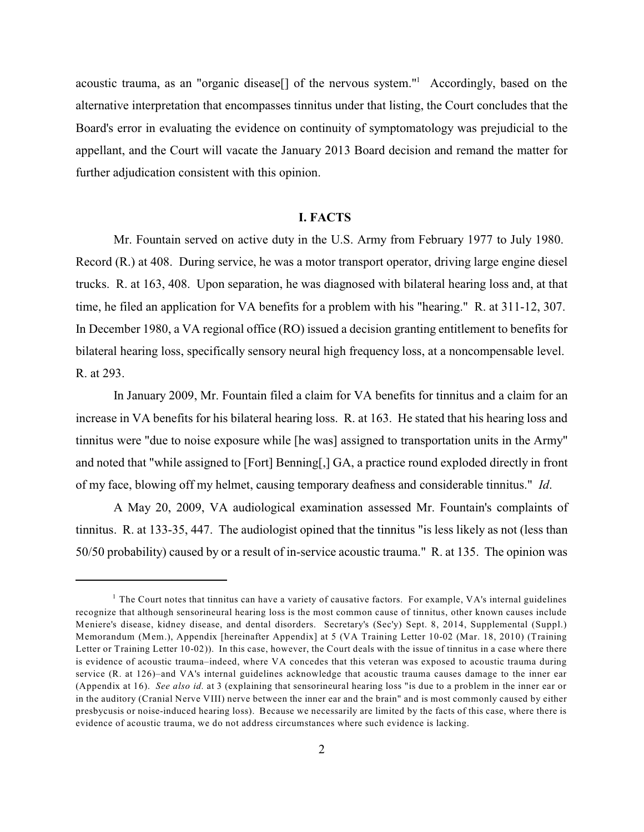acoustic trauma, as an "organic disease[] of the nervous system."<sup>1</sup> Accordingly, based on the alternative interpretation that encompasses tinnitus under that listing, the Court concludes that the Board's error in evaluating the evidence on continuity of symptomatology was prejudicial to the appellant, and the Court will vacate the January 2013 Board decision and remand the matter for further adjudication consistent with this opinion.

#### **I. FACTS**

Mr. Fountain served on active duty in the U.S. Army from February 1977 to July 1980. Record (R.) at 408. During service, he was a motor transport operator, driving large engine diesel trucks. R. at 163, 408. Upon separation, he was diagnosed with bilateral hearing loss and, at that time, he filed an application for VA benefits for a problem with his "hearing." R. at 311-12, 307. In December 1980, a VA regional office (RO) issued a decision granting entitlement to benefits for bilateral hearing loss, specifically sensory neural high frequency loss, at a noncompensable level. R. at 293.

In January 2009, Mr. Fountain filed a claim for VA benefits for tinnitus and a claim for an increase in VA benefits for his bilateral hearing loss. R. at 163. He stated that his hearing loss and tinnitus were "due to noise exposure while [he was] assigned to transportation units in the Army" and noted that "while assigned to [Fort] Benning[,] GA, a practice round exploded directly in front of my face, blowing off my helmet, causing temporary deafness and considerable tinnitus." *Id*.

A May 20, 2009, VA audiological examination assessed Mr. Fountain's complaints of tinnitus. R. at 133-35, 447. The audiologist opined that the tinnitus "is less likely as not (less than 50/50 probability) caused by or a result of in-service acoustic trauma." R. at 135. The opinion was

<sup>&</sup>lt;sup>1</sup> The Court notes that tinnitus can have a variety of causative factors. For example, VA's internal guidelines recognize that although sensorineural hearing loss is the most common cause of tinnitus, other known causes include Meniere's disease, kidney disease, and dental disorders. Secretary's (Sec'y) Sept. 8, 2014, Supplemental (Suppl.) Memorandum (Mem.), Appendix [hereinafter Appendix] at 5 (VA Training Letter 10-02 (Mar. 18, 2010) (Training Letter or Training Letter 10-02)). In this case, however, the Court deals with the issue of tinnitus in a case where there is evidence of acoustic trauma–indeed, where VA concedes that this veteran was exposed to acoustic trauma during service (R. at 126)–and VA's internal guidelines acknowledge that acoustic trauma causes damage to the inner ear (Appendix at 16). *See also id.* at 3 (explaining that sensorineural hearing loss "is due to a problem in the inner ear or in the auditory (Cranial Nerve VIII) nerve between the inner ear and the brain" and is most commonly caused by either presbycusis or noise-induced hearing loss). Because we necessarily are limited by the facts of this case, where there is evidence of acoustic trauma, we do not address circumstances where such evidence is lacking.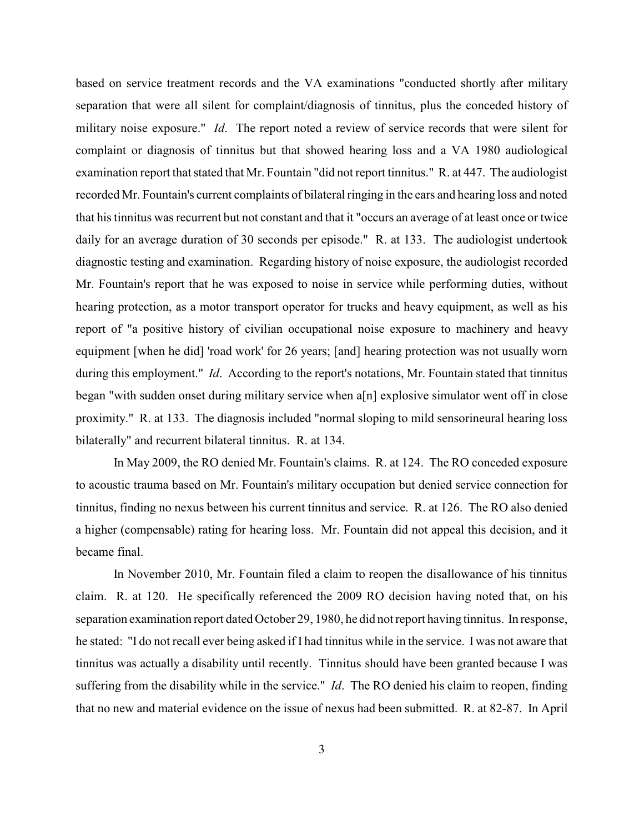based on service treatment records and the VA examinations "conducted shortly after military separation that were all silent for complaint/diagnosis of tinnitus, plus the conceded history of military noise exposure." *Id*. The report noted a review of service records that were silent for complaint or diagnosis of tinnitus but that showed hearing loss and a VA 1980 audiological examination report that stated that Mr. Fountain "did not report tinnitus." R. at 447. The audiologist recorded Mr. Fountain's current complaints of bilateral ringing in the ears and hearing loss and noted that his tinnitus was recurrent but not constant and that it "occurs an average of at least once or twice daily for an average duration of 30 seconds per episode." R. at 133. The audiologist undertook diagnostic testing and examination. Regarding history of noise exposure, the audiologist recorded Mr. Fountain's report that he was exposed to noise in service while performing duties, without hearing protection, as a motor transport operator for trucks and heavy equipment, as well as his report of "a positive history of civilian occupational noise exposure to machinery and heavy equipment [when he did] 'road work' for 26 years; [and] hearing protection was not usually worn during this employment." *Id*. According to the report's notations, Mr. Fountain stated that tinnitus began "with sudden onset during military service when a[n] explosive simulator went off in close proximity." R. at 133. The diagnosis included "normal sloping to mild sensorineural hearing loss bilaterally" and recurrent bilateral tinnitus. R. at 134.

In May 2009, the RO denied Mr. Fountain's claims. R. at 124. The RO conceded exposure to acoustic trauma based on Mr. Fountain's military occupation but denied service connection for tinnitus, finding no nexus between his current tinnitus and service. R. at 126. The RO also denied a higher (compensable) rating for hearing loss. Mr. Fountain did not appeal this decision, and it became final.

In November 2010, Mr. Fountain filed a claim to reopen the disallowance of his tinnitus claim. R. at 120. He specifically referenced the 2009 RO decision having noted that, on his separation examination report dated October 29, 1980, he did not report having tinnitus. In response, he stated: "I do not recall ever being asked if I had tinnitus while in the service. I was not aware that tinnitus was actually a disability until recently. Tinnitus should have been granted because I was suffering from the disability while in the service." *Id*. The RO denied his claim to reopen, finding that no new and material evidence on the issue of nexus had been submitted. R. at 82-87. In April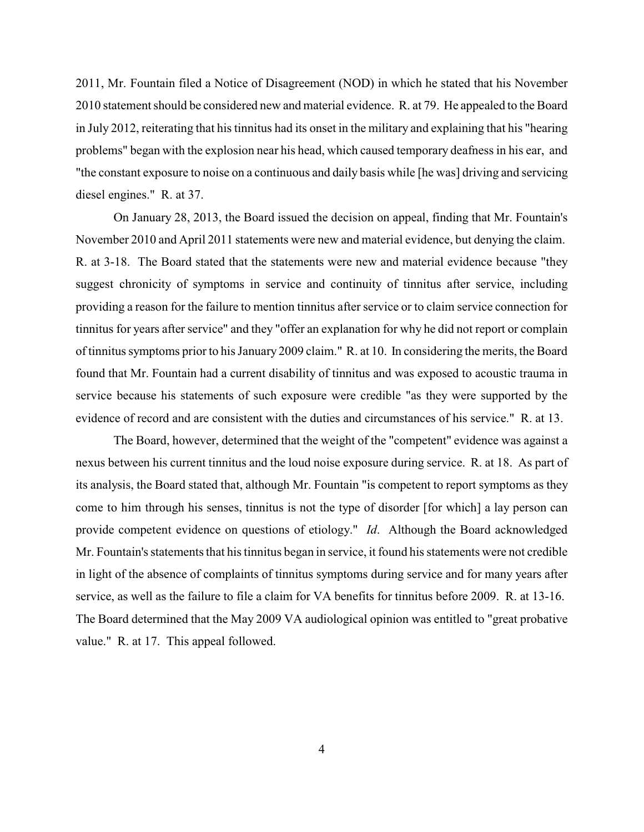2011, Mr. Fountain filed a Notice of Disagreement (NOD) in which he stated that his November 2010 statement should be considered new and material evidence. R. at 79. He appealed to the Board in July 2012, reiterating that his tinnitus had its onset in the military and explaining that his "hearing problems" began with the explosion near his head, which caused temporary deafness in his ear, and "the constant exposure to noise on a continuous and daily basis while [he was] driving and servicing diesel engines." R. at 37.

On January 28, 2013, the Board issued the decision on appeal, finding that Mr. Fountain's November 2010 and April 2011 statements were new and material evidence, but denying the claim. R. at 3-18. The Board stated that the statements were new and material evidence because "they suggest chronicity of symptoms in service and continuity of tinnitus after service, including providing a reason for the failure to mention tinnitus after service or to claim service connection for tinnitus for years after service" and they "offer an explanation for why he did not report or complain of tinnitussymptoms prior to his January 2009 claim." R. at 10. In considering the merits, the Board found that Mr. Fountain had a current disability of tinnitus and was exposed to acoustic trauma in service because his statements of such exposure were credible "as they were supported by the evidence of record and are consistent with the duties and circumstances of his service." R. at 13.

The Board, however, determined that the weight of the "competent" evidence was against a nexus between his current tinnitus and the loud noise exposure during service. R. at 18. As part of its analysis, the Board stated that, although Mr. Fountain "is competent to report symptoms as they come to him through his senses, tinnitus is not the type of disorder [for which] a lay person can provide competent evidence on questions of etiology." *Id*. Although the Board acknowledged Mr. Fountain's statements that his tinnitus began in service, it found his statements were not credible in light of the absence of complaints of tinnitus symptoms during service and for many years after service, as well as the failure to file a claim for VA benefits for tinnitus before 2009. R. at 13-16. The Board determined that the May 2009 VA audiological opinion was entitled to "great probative value." R. at 17. This appeal followed.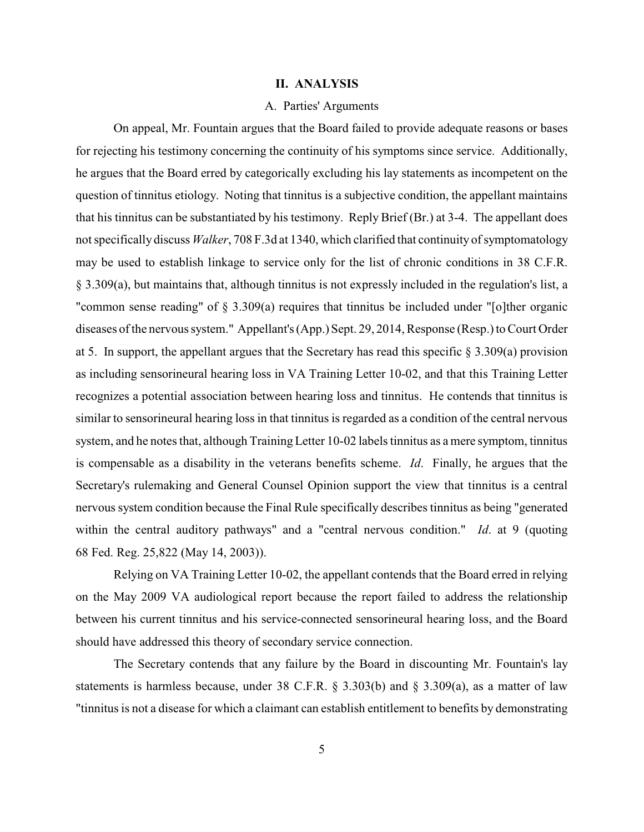#### **II. ANALYSIS**

## A. Parties' Arguments

On appeal, Mr. Fountain argues that the Board failed to provide adequate reasons or bases for rejecting his testimony concerning the continuity of his symptoms since service. Additionally, he argues that the Board erred by categorically excluding his lay statements as incompetent on the question of tinnitus etiology. Noting that tinnitus is a subjective condition, the appellant maintains that his tinnitus can be substantiated by his testimony. Reply Brief (Br.) at 3-4. The appellant does not specifically discuss *Walker*, 708 F.3d at 1340, which clarified that continuity of symptomatology may be used to establish linkage to service only for the list of chronic conditions in 38 C.F.R. § 3.309(a), but maintains that, although tinnitus is not expressly included in the regulation's list, a "common sense reading" of § 3.309(a) requires that tinnitus be included under "[o]ther organic diseases of the nervous system." Appellant's (App.) Sept. 29, 2014, Response (Resp.) to Court Order at 5. In support, the appellant argues that the Secretary has read this specific  $\S 3.309(a)$  provision as including sensorineural hearing loss in VA Training Letter 10-02, and that this Training Letter recognizes a potential association between hearing loss and tinnitus. He contends that tinnitus is similar to sensorineural hearing loss in that tinnitus is regarded as a condition of the central nervous system, and he notes that, although Training Letter 10-02 labels tinnitus as a mere symptom, tinnitus is compensable as a disability in the veterans benefits scheme. *Id*. Finally, he argues that the Secretary's rulemaking and General Counsel Opinion support the view that tinnitus is a central nervous system condition because the Final Rule specifically describes tinnitus as being "generated within the central auditory pathways" and a "central nervous condition." *Id*. at 9 (quoting 68 Fed. Reg. 25,822 (May 14, 2003)).

Relying on VA Training Letter 10-02, the appellant contends that the Board erred in relying on the May 2009 VA audiological report because the report failed to address the relationship between his current tinnitus and his service-connected sensorineural hearing loss, and the Board should have addressed this theory of secondary service connection.

The Secretary contends that any failure by the Board in discounting Mr. Fountain's lay statements is harmless because, under 38 C.F.R.  $\S$  3.303(b) and  $\S$  3.309(a), as a matter of law "tinnitus is not a disease for which a claimant can establish entitlement to benefits by demonstrating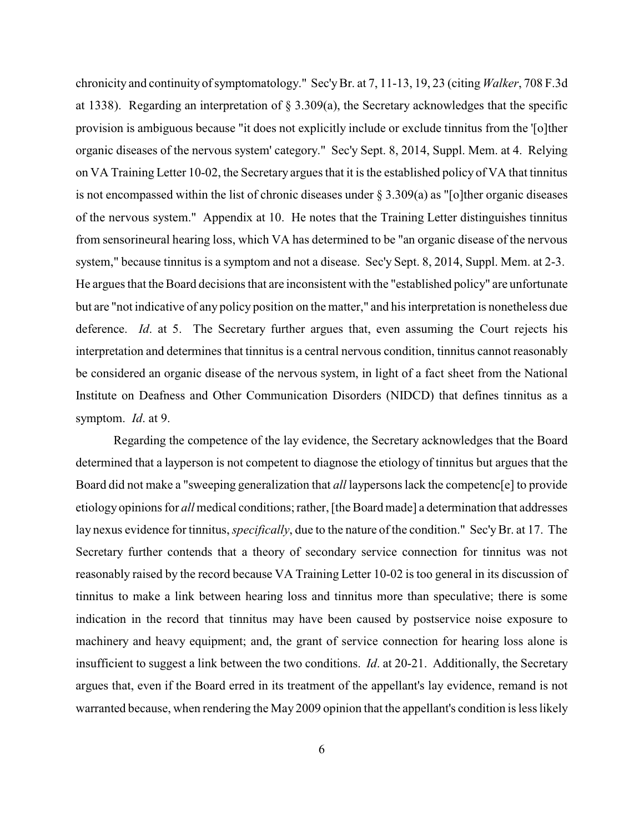chronicity and continuity of symptomatology." Sec'yBr. at 7, 11-13, 19, 23 (citing *Walker*, 708 F.3d at 1338). Regarding an interpretation of § 3.309(a), the Secretary acknowledges that the specific provision is ambiguous because "it does not explicitly include or exclude tinnitus from the '[o]ther organic diseases of the nervous system' category." Sec'y Sept. 8, 2014, Suppl. Mem. at 4. Relying on VA Training Letter 10-02, the Secretary argues that it is the established policy of VA that tinnitus is not encompassed within the list of chronic diseases under § 3.309(a) as "[o]ther organic diseases of the nervous system." Appendix at 10. He notes that the Training Letter distinguishes tinnitus from sensorineural hearing loss, which VA has determined to be "an organic disease of the nervous system," because tinnitus is a symptom and not a disease. Sec'y Sept. 8, 2014, Suppl. Mem. at 2-3. He argues that the Board decisions that are inconsistent with the "established policy" are unfortunate but are "not indicative of any policy position on the matter," and his interpretation is nonetheless due deference. *Id*. at 5. The Secretary further argues that, even assuming the Court rejects his interpretation and determines that tinnitus is a central nervous condition, tinnitus cannot reasonably be considered an organic disease of the nervous system, in light of a fact sheet from the National Institute on Deafness and Other Communication Disorders (NIDCD) that defines tinnitus as a symptom. *Id*. at 9.

Regarding the competence of the lay evidence, the Secretary acknowledges that the Board determined that a layperson is not competent to diagnose the etiology of tinnitus but argues that the Board did not make a "sweeping generalization that *all* laypersons lack the competenc[e] to provide etiology opinions for *all* medical conditions; rather, [the Board made] a determination that addresses lay nexus evidence for tinnitus, *specifically*, due to the nature of the condition." Sec'y Br. at 17. The Secretary further contends that a theory of secondary service connection for tinnitus was not reasonably raised by the record because VA Training Letter 10-02 is too general in its discussion of tinnitus to make a link between hearing loss and tinnitus more than speculative; there is some indication in the record that tinnitus may have been caused by postservice noise exposure to machinery and heavy equipment; and, the grant of service connection for hearing loss alone is insufficient to suggest a link between the two conditions. *Id*. at 20-21. Additionally, the Secretary argues that, even if the Board erred in its treatment of the appellant's lay evidence, remand is not warranted because, when rendering the May 2009 opinion that the appellant's condition is less likely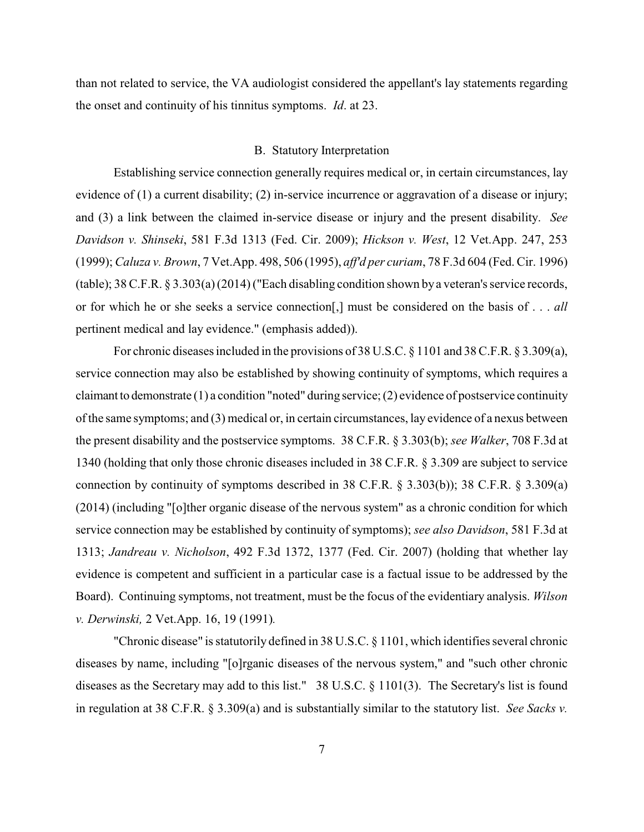than not related to service, the VA audiologist considered the appellant's lay statements regarding the onset and continuity of his tinnitus symptoms. *Id*. at 23.

## B. Statutory Interpretation

Establishing service connection generally requires medical or, in certain circumstances, lay evidence of (1) a current disability; (2) in-service incurrence or aggravation of a disease or injury; and (3) a link between the claimed in-service disease or injury and the present disability. *See Davidson v. Shinseki*, 581 F.3d 1313 (Fed. Cir. 2009); *Hickson v. West*, 12 Vet.App. 247, 253 (1999); *Caluza v. Brown*, 7 Vet.App. 498, 506 (1995), *aff'd per curiam*, 78 F.3d 604 (Fed. Cir. 1996) (table); 38 C.F.R. § 3.303(a)(2014) ("Each disabling condition shown bya veteran's service records, or for which he or she seeks a service connection[,] must be considered on the basis of . . . *all* pertinent medical and lay evidence." (emphasis added)).

For chronic diseases included in the provisions of 38 U.S.C. § 1101 and 38 C.F.R. § 3.309(a), service connection may also be established by showing continuity of symptoms, which requires a claimant to demonstrate (1) a condition "noted" during service; (2) evidence of postservice continuity of the same symptoms; and (3) medical or, in certain circumstances, lay evidence of a nexus between the present disability and the postservice symptoms. 38 C.F.R. § 3.303(b); *see Walker*, 708 F.3d at 1340 (holding that only those chronic diseases included in 38 C.F.R. § 3.309 are subject to service connection by continuity of symptoms described in 38 C.F.R. § 3.303(b)); 38 C.F.R. § 3.309(a) (2014) (including "[o]ther organic disease of the nervous system" as a chronic condition for which service connection may be established by continuity of symptoms); *see also Davidson*, 581 F.3d at 1313; *Jandreau v. Nicholson*, 492 F.3d 1372, 1377 (Fed. Cir. 2007) (holding that whether lay evidence is competent and sufficient in a particular case is a factual issue to be addressed by the Board). Continuing symptoms, not treatment, must be the focus of the evidentiary analysis. *Wilson v. Derwinski,* 2 Vet.App. 16, 19 (1991)*.*

"Chronic disease" is statutorily defined in 38 U.S.C. § 1101, which identifies several chronic diseases by name, including "[o]rganic diseases of the nervous system," and "such other chronic diseases as the Secretary may add to this list." 38 U.S.C. § 1101(3). The Secretary's list is found in regulation at 38 C.F.R. § 3.309(a) and is substantially similar to the statutory list. *See Sacks v.*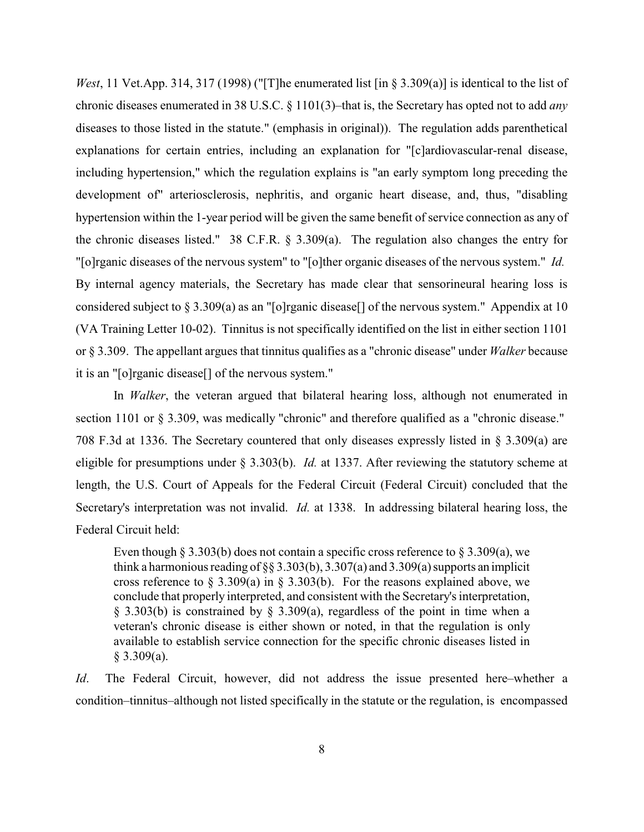*West*, 11 Vet.App. 314, 317 (1998) ("[T]he enumerated list [in § 3.309(a)] is identical to the list of chronic diseases enumerated in 38 U.S.C. § 1101(3)–that is, the Secretary has opted not to add *any* diseases to those listed in the statute." (emphasis in original)). The regulation adds parenthetical explanations for certain entries, including an explanation for "[c]ardiovascular-renal disease, including hypertension," which the regulation explains is "an early symptom long preceding the development of" arteriosclerosis, nephritis, and organic heart disease, and, thus, "disabling hypertension within the 1-year period will be given the same benefit of service connection as any of the chronic diseases listed." 38 C.F.R. § 3.309(a). The regulation also changes the entry for "[o]rganic diseases of the nervous system" to "[o]ther organic diseases of the nervous system." *Id.* By internal agency materials, the Secretary has made clear that sensorineural hearing loss is considered subject to § 3.309(a) as an "[o]rganic disease[] of the nervous system." Appendix at 10 (VA Training Letter 10-02). Tinnitus is not specifically identified on the list in either section 1101 or § 3.309. The appellant argues that tinnitus qualifies as a "chronic disease" under *Walker* because it is an "[o]rganic disease[] of the nervous system."

In *Walker*, the veteran argued that bilateral hearing loss, although not enumerated in section 1101 or § 3.309, was medically "chronic" and therefore qualified as a "chronic disease." 708 F.3d at 1336. The Secretary countered that only diseases expressly listed in § 3.309(a) are eligible for presumptions under § 3.303(b). *Id.* at 1337. After reviewing the statutory scheme at length, the U.S. Court of Appeals for the Federal Circuit (Federal Circuit) concluded that the Secretary's interpretation was not invalid. *Id.* at 1338. In addressing bilateral hearing loss, the Federal Circuit held:

Even though § 3.303(b) does not contain a specific cross reference to § 3.309(a), we think a harmonious reading of §§ 3.303(b), 3.307(a) and 3.309(a) supports an implicit cross reference to § 3.309(a) in § 3.303(b). For the reasons explained above, we conclude that properly interpreted, and consistent with the Secretary's interpretation, § 3.303(b) is constrained by § 3.309(a), regardless of the point in time when a veteran's chronic disease is either shown or noted, in that the regulation is only available to establish service connection for the specific chronic diseases listed in  $§$  3.309(a).

*Id*. The Federal Circuit, however, did not address the issue presented here–whether a condition–tinnitus–although not listed specifically in the statute or the regulation, is encompassed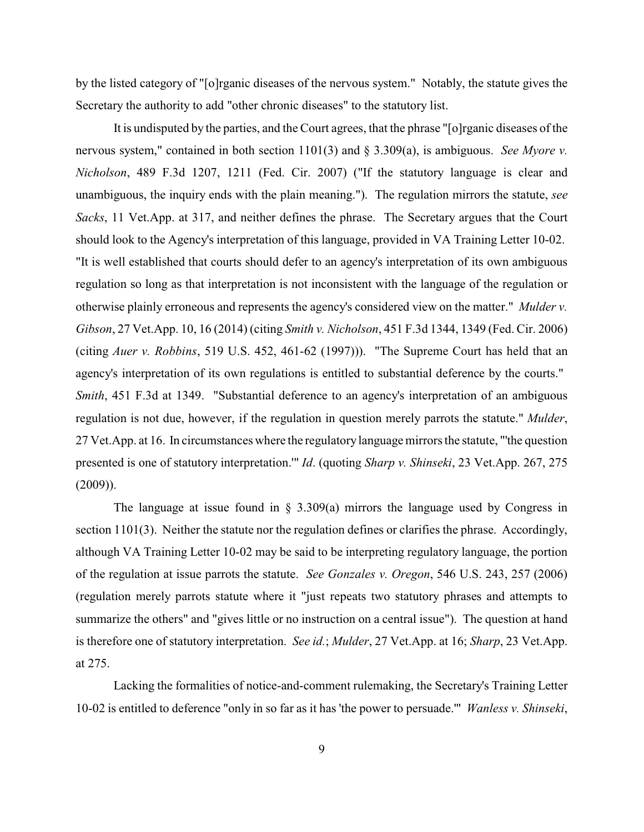by the listed category of "[o]rganic diseases of the nervous system." Notably, the statute gives the Secretary the authority to add "other chronic diseases" to the statutory list.

It is undisputed by the parties, and the Court agrees, that the phrase "[o]rganic diseases of the nervous system," contained in both section 1101(3) and § 3.309(a), is ambiguous. *See Myore v. Nicholson*, 489 F.3d 1207, 1211 (Fed. Cir. 2007) ("If the statutory language is clear and unambiguous, the inquiry ends with the plain meaning."). The regulation mirrors the statute, *see Sacks*, 11 Vet.App. at 317, and neither defines the phrase. The Secretary argues that the Court should look to the Agency's interpretation of this language, provided in VA Training Letter 10-02. "It is well established that courts should defer to an agency's interpretation of its own ambiguous regulation so long as that interpretation is not inconsistent with the language of the regulation or otherwise plainly erroneous and represents the agency's considered view on the matter." *Mulder v. Gibson*, 27 Vet.App. 10, 16 (2014) (citing *Smith v. Nicholson*, 451 F.3d 1344, 1349 (Fed. Cir. 2006) (citing *Auer v. Robbins*, 519 U.S. 452, 461-62 (1997))). "The Supreme Court has held that an agency's interpretation of its own regulations is entitled to substantial deference by the courts." *Smith*, 451 F.3d at 1349. "Substantial deference to an agency's interpretation of an ambiguous regulation is not due, however, if the regulation in question merely parrots the statute." *Mulder*, 27 Vet.App. at 16. In circumstances where the regulatory language mirrors the statute, "'the question presented is one of statutory interpretation.'" *Id*. (quoting *Sharp v. Shinseki*, 23 Vet.App. 267, 275 (2009)).

The language at issue found in  $\S$  3.309(a) mirrors the language used by Congress in section 1101(3). Neither the statute nor the regulation defines or clarifies the phrase. Accordingly, although VA Training Letter 10-02 may be said to be interpreting regulatory language, the portion of the regulation at issue parrots the statute. *See Gonzales v. Oregon*, 546 U.S. 243, 257 (2006) (regulation merely parrots statute where it "just repeats two statutory phrases and attempts to summarize the others" and "gives little or no instruction on a central issue"). The question at hand is therefore one of statutory interpretation. *See id.*; *Mulder*, 27 Vet.App. at 16; *Sharp*, 23 Vet.App. at 275.

Lacking the formalities of notice-and-comment rulemaking, the Secretary's Training Letter 10-02 is entitled to deference "only in so far as it has 'the power to persuade.'" *Wanless v. Shinseki*,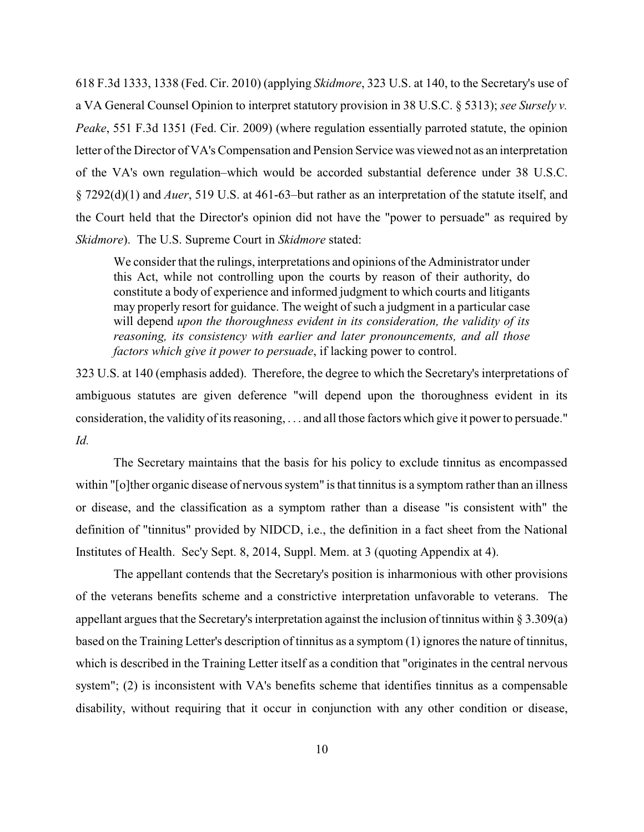618 F.3d 1333, 1338 (Fed. Cir. 2010) (applying *Skidmore*, 323 U.S. at 140, to the Secretary's use of a VA General Counsel Opinion to interpret statutory provision in 38 U.S.C. § 5313); *see Sursely v. Peake*, 551 F.3d 1351 (Fed. Cir. 2009) (where regulation essentially parroted statute, the opinion letter of the Director of VA's Compensation and Pension Service was viewed not as an interpretation of the VA's own regulation–which would be accorded substantial deference under 38 U.S.C. § 7292(d)(1) and *Auer*, 519 U.S. at 461-63–but rather as an interpretation of the statute itself, and the Court held that the Director's opinion did not have the "power to persuade" as required by *Skidmore*). The U.S. Supreme Court in *Skidmore* stated:

We consider that the rulings, interpretations and opinions of the Administrator under this Act, while not controlling upon the courts by reason of their authority, do constitute a body of experience and informed judgment to which courts and litigants may properly resort for guidance. The weight of such a judgment in a particular case will depend *upon the thoroughness evident in its consideration, the validity of its reasoning, its consistency with earlier and later pronouncements, and all those factors which give it power to persuade*, if lacking power to control.

323 U.S. at 140 (emphasis added). Therefore, the degree to which the Secretary's interpretations of ambiguous statutes are given deference "will depend upon the thoroughness evident in its consideration, the validity of its reasoning, . . . and all those factors which give it powerto persuade." *Id.*

The Secretary maintains that the basis for his policy to exclude tinnitus as encompassed within "[o]ther organic disease of nervous system" is that tinnitus is a symptom rather than an illness or disease, and the classification as a symptom rather than a disease "is consistent with" the definition of "tinnitus" provided by NIDCD, i.e., the definition in a fact sheet from the National Institutes of Health. Sec'y Sept. 8, 2014, Suppl. Mem. at 3 (quoting Appendix at 4).

The appellant contends that the Secretary's position is inharmonious with other provisions of the veterans benefits scheme and a constrictive interpretation unfavorable to veterans. The appellant argues that the Secretary's interpretation against the inclusion of tinnitus within § 3.309(a) based on the Training Letter's description of tinnitus as a symptom (1) ignores the nature of tinnitus, which is described in the Training Letter itself as a condition that "originates in the central nervous system"; (2) is inconsistent with VA's benefits scheme that identifies tinnitus as a compensable disability, without requiring that it occur in conjunction with any other condition or disease,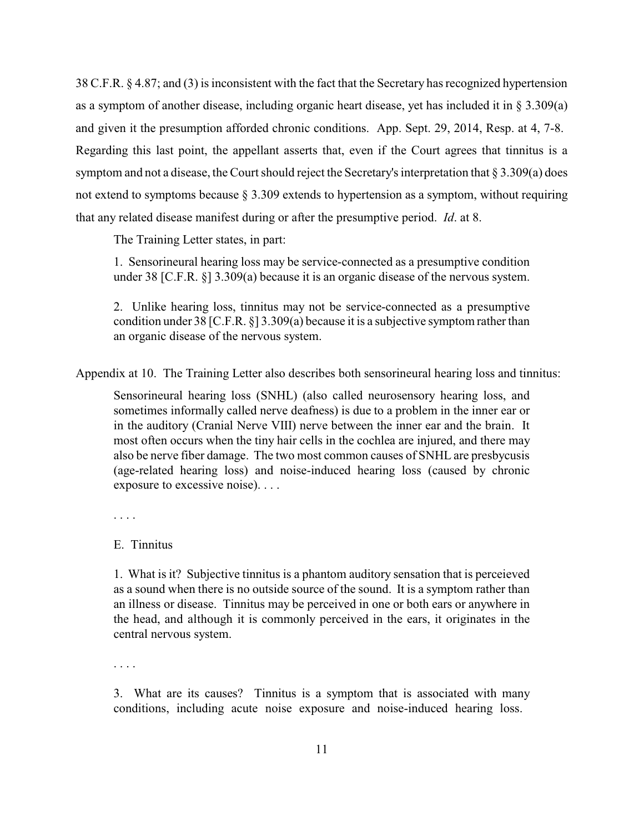38 C.F.R. § 4.87; and (3) is inconsistent with the fact that the Secretary has recognized hypertension as a symptom of another disease, including organic heart disease, yet has included it in § 3.309(a) and given it the presumption afforded chronic conditions. App. Sept. 29, 2014, Resp. at 4, 7-8. Regarding this last point, the appellant asserts that, even if the Court agrees that tinnitus is a symptom and not a disease, the Court should reject the Secretary's interpretation that § 3.309(a) does not extend to symptoms because § 3.309 extends to hypertension as a symptom, without requiring that any related disease manifest during or after the presumptive period. *Id*. at 8.

The Training Letter states, in part:

1. Sensorineural hearing loss may be service-connected as a presumptive condition under 38 [C.F.R. §] 3.309(a) because it is an organic disease of the nervous system.

2. Unlike hearing loss, tinnitus may not be service-connected as a presumptive condition under 38 [C.F.R. §] 3.309(a) because it is a subjective symptom rather than an organic disease of the nervous system.

Appendix at 10. The Training Letter also describes both sensorineural hearing loss and tinnitus:

Sensorineural hearing loss (SNHL) (also called neurosensory hearing loss, and sometimes informally called nerve deafness) is due to a problem in the inner ear or in the auditory (Cranial Nerve VIII) nerve between the inner ear and the brain. It most often occurs when the tiny hair cells in the cochlea are injured, and there may also be nerve fiber damage. The two most common causes of SNHL are presbycusis (age-related hearing loss) and noise-induced hearing loss (caused by chronic exposure to excessive noise). . . .

. . . .

# E. Tinnitus

1. What is it? Subjective tinnitus is a phantom auditory sensation that is perceieved as a sound when there is no outside source of the sound. It is a symptom rather than an illness or disease. Tinnitus may be perceived in one or both ears or anywhere in the head, and although it is commonly perceived in the ears, it originates in the central nervous system.

. . . .

3. What are its causes? Tinnitus is a symptom that is associated with many conditions, including acute noise exposure and noise-induced hearing loss.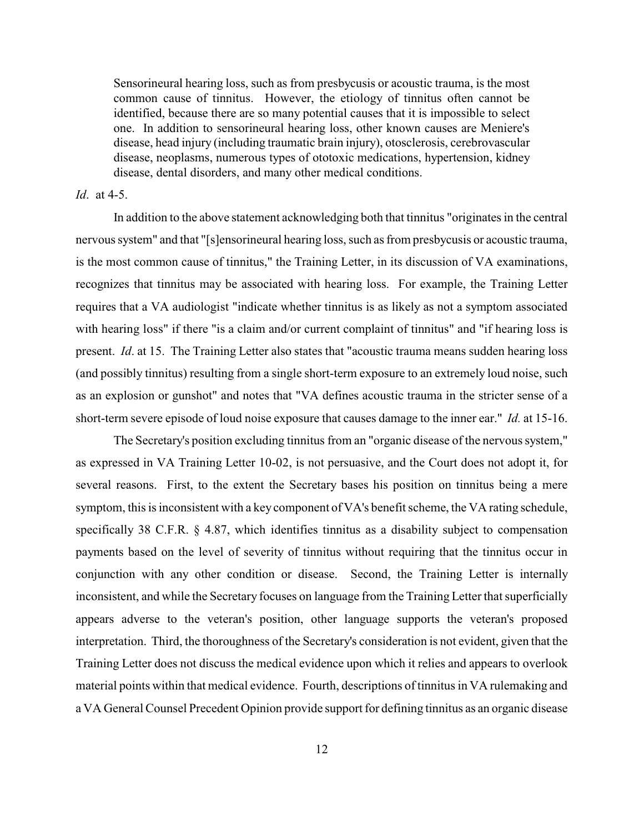Sensorineural hearing loss, such as from presbycusis or acoustic trauma, is the most common cause of tinnitus. However, the etiology of tinnitus often cannot be identified, because there are so many potential causes that it is impossible to select one. In addition to sensorineural hearing loss, other known causes are Meniere's disease, head injury (including traumatic brain injury), otosclerosis, cerebrovascular disease, neoplasms, numerous types of ototoxic medications, hypertension, kidney disease, dental disorders, and many other medical conditions.

#### *Id*. at 4-5.

In addition to the above statement acknowledging both that tinnitus "originates in the central nervous system" and that "[s]ensorineural hearing loss, such as from presbycusis or acoustic trauma, is the most common cause of tinnitus," the Training Letter, in its discussion of VA examinations, recognizes that tinnitus may be associated with hearing loss. For example, the Training Letter requires that a VA audiologist "indicate whether tinnitus is as likely as not a symptom associated with hearing loss" if there "is a claim and/or current complaint of tinnitus" and "if hearing loss is present. *Id*. at 15. The Training Letter also states that "acoustic trauma means sudden hearing loss (and possibly tinnitus) resulting from a single short-term exposure to an extremely loud noise, such as an explosion or gunshot" and notes that "VA defines acoustic trauma in the stricter sense of a short-term severe episode of loud noise exposure that causes damage to the inner ear." *Id.* at 15-16.

The Secretary's position excluding tinnitus from an "organic disease of the nervous system," as expressed in VA Training Letter 10-02, is not persuasive, and the Court does not adopt it, for several reasons. First, to the extent the Secretary bases his position on tinnitus being a mere symptom, this is inconsistent with a key component of VA's benefit scheme, the VA rating schedule, specifically 38 C.F.R. § 4.87, which identifies tinnitus as a disability subject to compensation payments based on the level of severity of tinnitus without requiring that the tinnitus occur in conjunction with any other condition or disease. Second, the Training Letter is internally inconsistent, and while the Secretary focuses on language from the Training Letter that superficially appears adverse to the veteran's position, other language supports the veteran's proposed interpretation. Third, the thoroughness of the Secretary's consideration is not evident, given that the Training Letter does not discuss the medical evidence upon which it relies and appears to overlook material points within that medical evidence. Fourth, descriptions of tinnitus in VA rulemaking and a VA General Counsel Precedent Opinion provide support for defining tinnitus as an organic disease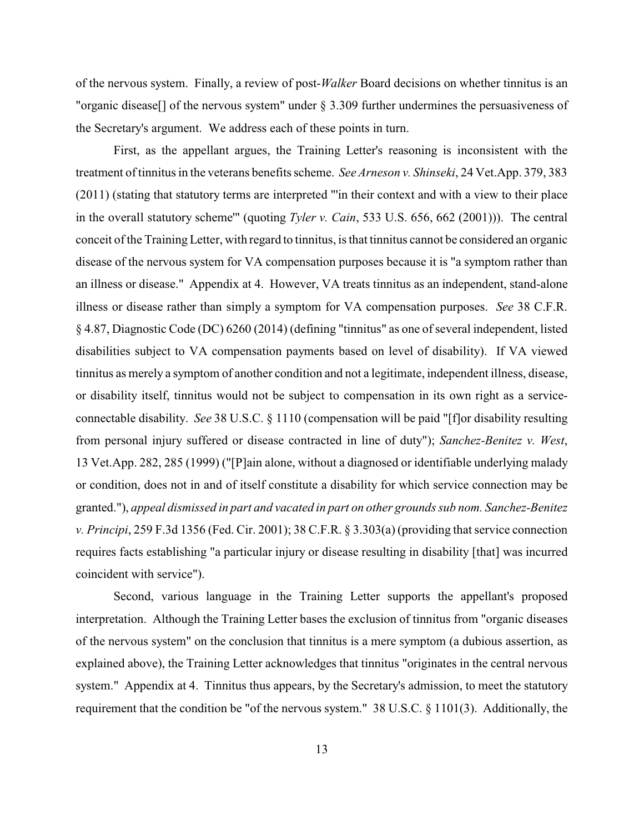of the nervous system. Finally, a review of post-*Walker* Board decisions on whether tinnitus is an "organic disease[] of the nervous system" under § 3.309 further undermines the persuasiveness of the Secretary's argument. We address each of these points in turn.

First, as the appellant argues, the Training Letter's reasoning is inconsistent with the treatment of tinnitus in the veterans benefits scheme. *See Arneson v. Shinseki*, 24 Vet.App. 379, 383 (2011) (stating that statutory terms are interpreted "'in their context and with a view to their place in the overall statutory scheme'" (quoting *Tyler v. Cain*, 533 U.S. 656, 662 (2001))). The central conceit of the Training Letter, with regard to tinnitus, is that tinnitus cannot be considered an organic disease of the nervous system for VA compensation purposes because it is "a symptom rather than an illness or disease." Appendix at 4. However, VA treats tinnitus as an independent, stand-alone illness or disease rather than simply a symptom for VA compensation purposes. *See* 38 C.F.R. § 4.87, Diagnostic Code (DC) 6260 (2014) (defining "tinnitus" as one of several independent, listed disabilities subject to VA compensation payments based on level of disability). If VA viewed tinnitus as merely a symptom of another condition and not a legitimate, independent illness, disease, or disability itself, tinnitus would not be subject to compensation in its own right as a serviceconnectable disability. *See* 38 U.S.C. § 1110 (compensation will be paid "[f]or disability resulting from personal injury suffered or disease contracted in line of duty"); *Sanchez-Benitez v. West*, 13 Vet.App. 282, 285 (1999) ("[P]ain alone, without a diagnosed or identifiable underlying malady or condition, does not in and of itself constitute a disability for which service connection may be granted."), *appeal dismissed in part and vacated in part on other grounds sub nom. Sanchez-Benitez v. Principi*, 259 F.3d 1356 (Fed. Cir. 2001); 38 C.F.R. § 3.303(a) (providing that service connection requires facts establishing "a particular injury or disease resulting in disability [that] was incurred coincident with service").

Second, various language in the Training Letter supports the appellant's proposed interpretation. Although the Training Letter bases the exclusion of tinnitus from "organic diseases of the nervous system" on the conclusion that tinnitus is a mere symptom (a dubious assertion, as explained above), the Training Letter acknowledges that tinnitus "originates in the central nervous system." Appendix at 4. Tinnitus thus appears, by the Secretary's admission, to meet the statutory requirement that the condition be "of the nervous system." 38 U.S.C. § 1101(3). Additionally, the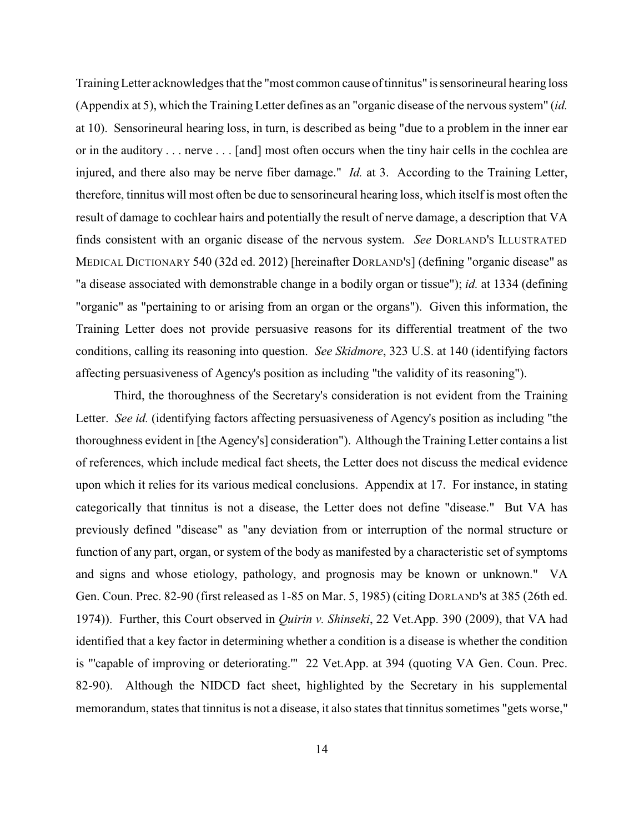TrainingLetter acknowledges that the "most common cause of tinnitus" is sensorineural hearing loss (Appendix at 5), which the Training Letter defines as an "organic disease of the nervous system" (*id.* at 10). Sensorineural hearing loss, in turn, is described as being "due to a problem in the inner ear or in the auditory . . . nerve . . . [and] most often occurs when the tiny hair cells in the cochlea are injured, and there also may be nerve fiber damage." *Id.* at 3. According to the Training Letter, therefore, tinnitus will most often be due to sensorineural hearing loss, which itself is most often the result of damage to cochlear hairs and potentially the result of nerve damage, a description that VA finds consistent with an organic disease of the nervous system. *See* DORLAND'S ILLUSTRATED MEDICAL DICTIONARY 540 (32d ed. 2012) [hereinafter DORLAND'S] (defining "organic disease" as "a disease associated with demonstrable change in a bodily organ or tissue"); *id.* at 1334 (defining "organic" as "pertaining to or arising from an organ or the organs"). Given this information, the Training Letter does not provide persuasive reasons for its differential treatment of the two conditions, calling its reasoning into question. *See Skidmore*, 323 U.S. at 140 (identifying factors affecting persuasiveness of Agency's position as including "the validity of its reasoning").

Third, the thoroughness of the Secretary's consideration is not evident from the Training Letter. *See id.* (identifying factors affecting persuasiveness of Agency's position as including "the thoroughness evident in [the Agency's] consideration"). Although the Training Letter contains a list of references, which include medical fact sheets, the Letter does not discuss the medical evidence upon which it relies for its various medical conclusions. Appendix at 17. For instance, in stating categorically that tinnitus is not a disease, the Letter does not define "disease." But VA has previously defined "disease" as "any deviation from or interruption of the normal structure or function of any part, organ, or system of the body as manifested by a characteristic set of symptoms and signs and whose etiology, pathology, and prognosis may be known or unknown." VA Gen. Coun. Prec. 82-90 (first released as 1-85 on Mar. 5, 1985) (citing DORLAND'S at 385 (26th ed. 1974)). Further, this Court observed in *Quirin v. Shinseki*, 22 Vet.App. 390 (2009), that VA had identified that a key factor in determining whether a condition is a disease is whether the condition is "'capable of improving or deteriorating.'" 22 Vet.App. at 394 (quoting VA Gen. Coun. Prec. 82-90). Although the NIDCD fact sheet, highlighted by the Secretary in his supplemental memorandum, states that tinnitus is not a disease, it also states that tinnitus sometimes "gets worse,"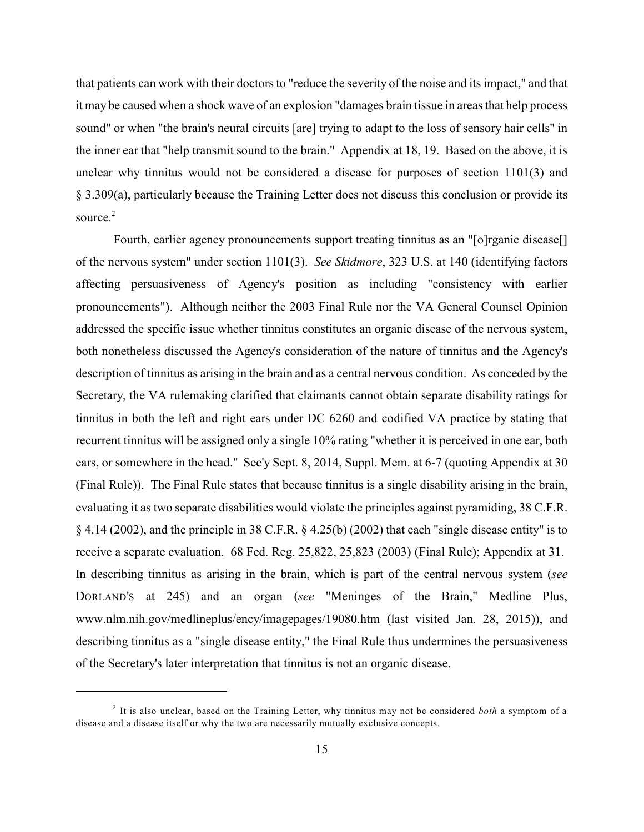that patients can work with their doctors to "reduce the severity of the noise and its impact," and that it may be caused when a shock wave of an explosion "damages brain tissue in areas that help process sound" or when "the brain's neural circuits [are] trying to adapt to the loss of sensory hair cells" in the inner ear that "help transmit sound to the brain." Appendix at 18, 19. Based on the above, it is unclear why tinnitus would not be considered a disease for purposes of section 1101(3) and § 3.309(a), particularly because the Training Letter does not discuss this conclusion or provide its source. 2

Fourth, earlier agency pronouncements support treating tinnitus as an "[o]rganic disease[] of the nervous system" under section 1101(3). *See Skidmore*, 323 U.S. at 140 (identifying factors affecting persuasiveness of Agency's position as including "consistency with earlier pronouncements"). Although neither the 2003 Final Rule nor the VA General Counsel Opinion addressed the specific issue whether tinnitus constitutes an organic disease of the nervous system, both nonetheless discussed the Agency's consideration of the nature of tinnitus and the Agency's description of tinnitus as arising in the brain and as a central nervous condition. As conceded by the Secretary, the VA rulemaking clarified that claimants cannot obtain separate disability ratings for tinnitus in both the left and right ears under DC 6260 and codified VA practice by stating that recurrent tinnitus will be assigned only a single 10% rating "whether it is perceived in one ear, both ears, or somewhere in the head." Sec'y Sept. 8, 2014, Suppl. Mem. at 6-7 (quoting Appendix at 30 (Final Rule)). The Final Rule states that because tinnitus is a single disability arising in the brain, evaluating it as two separate disabilities would violate the principles against pyramiding, 38 C.F.R. § 4.14 (2002), and the principle in 38 C.F.R. § 4.25(b) (2002) that each "single disease entity" is to receive a separate evaluation. 68 Fed. Reg. 25,822, 25,823 (2003) (Final Rule); Appendix at 31. In describing tinnitus as arising in the brain, which is part of the central nervous system (*see* DORLAND'S at 245) and an organ (*see* "Meninges of the Brain," Medline Plus, www.nlm.nih.gov/medlineplus/ency/imagepages/19080.htm (last visited Jan. 28, 2015)), and describing tinnitus as a "single disease entity," the Final Rule thus undermines the persuasiveness of the Secretary's later interpretation that tinnitus is not an organic disease.

<sup>&</sup>lt;sup>2</sup> It is also unclear, based on the Training Letter, why tinnitus may not be considered *both* a symptom of a disease and a disease itself or why the two are necessarily mutually exclusive concepts.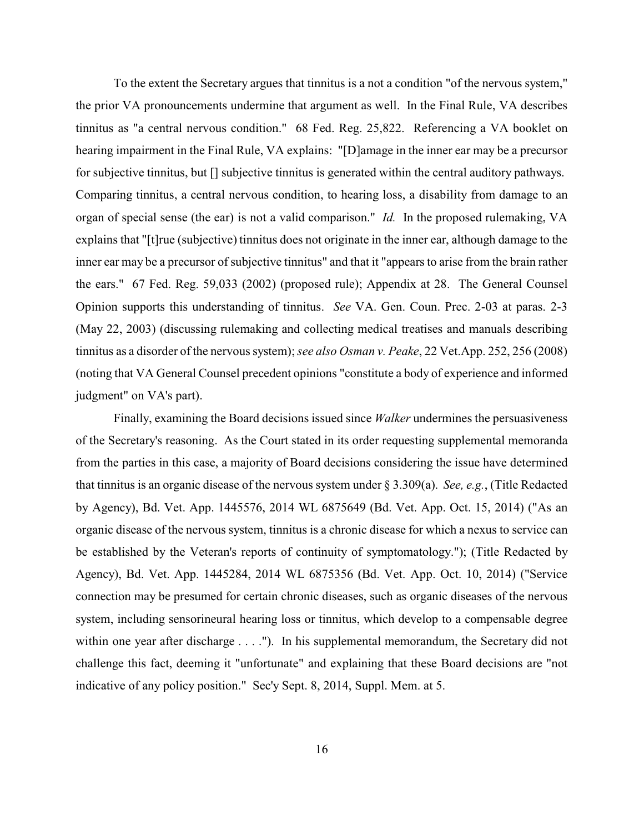To the extent the Secretary argues that tinnitus is a not a condition "of the nervous system," the prior VA pronouncements undermine that argument as well. In the Final Rule, VA describes tinnitus as "a central nervous condition." 68 Fed. Reg. 25,822. Referencing a VA booklet on hearing impairment in the Final Rule, VA explains: "[D]amage in the inner ear may be a precursor for subjective tinnitus, but [] subjective tinnitus is generated within the central auditory pathways. Comparing tinnitus, a central nervous condition, to hearing loss, a disability from damage to an organ of special sense (the ear) is not a valid comparison." *Id.* In the proposed rulemaking, VA explains that "[t]rue (subjective) tinnitus does not originate in the inner ear, although damage to the inner ear may be a precursor of subjective tinnitus" and that it "appears to arise from the brain rather the ears." 67 Fed. Reg. 59,033 (2002) (proposed rule); Appendix at 28. The General Counsel Opinion supports this understanding of tinnitus. *See* VA. Gen. Coun. Prec. 2-03 at paras. 2-3 (May 22, 2003) (discussing rulemaking and collecting medical treatises and manuals describing tinnitus as a disorder of the nervous system); *see also Osman v. Peake*, 22 Vet.App. 252, 256 (2008) (noting that VA General Counsel precedent opinions "constitute a body of experience and informed judgment" on VA's part).

Finally, examining the Board decisions issued since *Walker* undermines the persuasiveness of the Secretary's reasoning. As the Court stated in its order requesting supplemental memoranda from the parties in this case, a majority of Board decisions considering the issue have determined that tinnitus is an organic disease of the nervous system under § 3.309(a). *See, e.g.*, (Title Redacted by Agency), Bd. Vet. App. 1445576, 2014 WL 6875649 (Bd. Vet. App. Oct. 15, 2014) ("As an organic disease of the nervous system, tinnitus is a chronic disease for which a nexus to service can be established by the Veteran's reports of continuity of symptomatology."); (Title Redacted by Agency), Bd. Vet. App. 1445284, 2014 WL 6875356 (Bd. Vet. App. Oct. 10, 2014) ("Service connection may be presumed for certain chronic diseases, such as organic diseases of the nervous system, including sensorineural hearing loss or tinnitus, which develop to a compensable degree within one year after discharge . . . ."). In his supplemental memorandum, the Secretary did not challenge this fact, deeming it "unfortunate" and explaining that these Board decisions are "not indicative of any policy position." Sec'y Sept. 8, 2014, Suppl. Mem. at 5.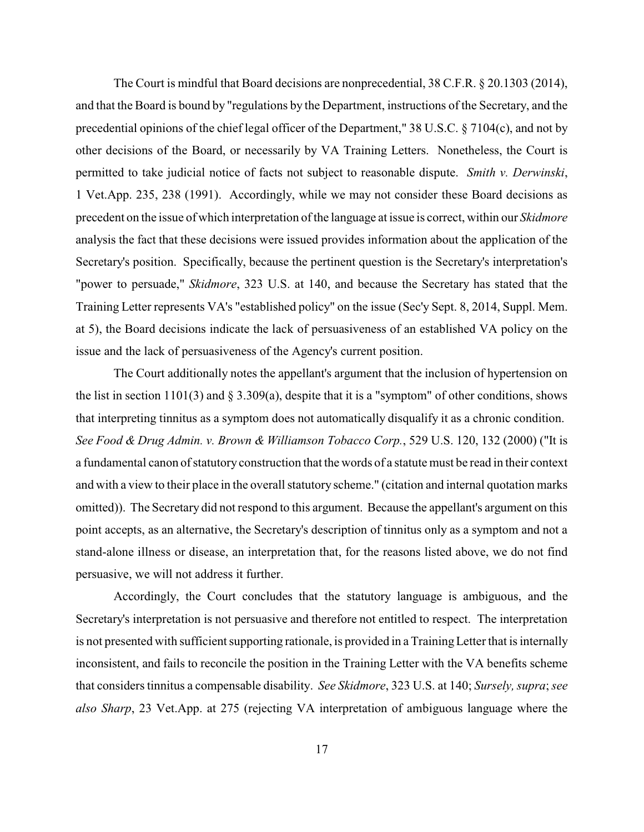The Court is mindful that Board decisions are nonprecedential, 38 C.F.R. § 20.1303 (2014), and that the Board is bound by "regulations by the Department, instructions of the Secretary, and the precedential opinions of the chief legal officer of the Department," 38 U.S.C. § 7104(c), and not by other decisions of the Board, or necessarily by VA Training Letters. Nonetheless, the Court is permitted to take judicial notice of facts not subject to reasonable dispute. *Smith v. Derwinski*, 1 Vet.App. 235, 238 (1991). Accordingly, while we may not consider these Board decisions as precedent on the issue of which interpretation of the language at issue is correct, within our *Skidmore* analysis the fact that these decisions were issued provides information about the application of the Secretary's position. Specifically, because the pertinent question is the Secretary's interpretation's "power to persuade," *Skidmore*, 323 U.S. at 140, and because the Secretary has stated that the Training Letter represents VA's "established policy" on the issue (Sec'y Sept. 8, 2014, Suppl. Mem. at 5), the Board decisions indicate the lack of persuasiveness of an established VA policy on the issue and the lack of persuasiveness of the Agency's current position.

The Court additionally notes the appellant's argument that the inclusion of hypertension on the list in section 1101(3) and  $\S 3.309(a)$ , despite that it is a "symptom" of other conditions, shows that interpreting tinnitus as a symptom does not automatically disqualify it as a chronic condition. *See Food & Drug Admin. v. Brown & Williamson Tobacco Corp.*, 529 U.S. 120, 132 (2000) ("It is a fundamental canon of statutory construction that the words of a statute must be read in their context and with a view to their place in the overall statutory scheme." (citation and internal quotation marks omitted)). The Secretary did not respond to this argument. Because the appellant's argument on this point accepts, as an alternative, the Secretary's description of tinnitus only as a symptom and not a stand-alone illness or disease, an interpretation that, for the reasons listed above, we do not find persuasive, we will not address it further.

Accordingly, the Court concludes that the statutory language is ambiguous, and the Secretary's interpretation is not persuasive and therefore not entitled to respect. The interpretation is not presented with sufficient supporting rationale, is provided in a TrainingLetter that is internally inconsistent, and fails to reconcile the position in the Training Letter with the VA benefits scheme that considers tinnitus a compensable disability. *See Skidmore*, 323 U.S. at 140; *Sursely, supra*; *see also Sharp*, 23 Vet.App. at 275 (rejecting VA interpretation of ambiguous language where the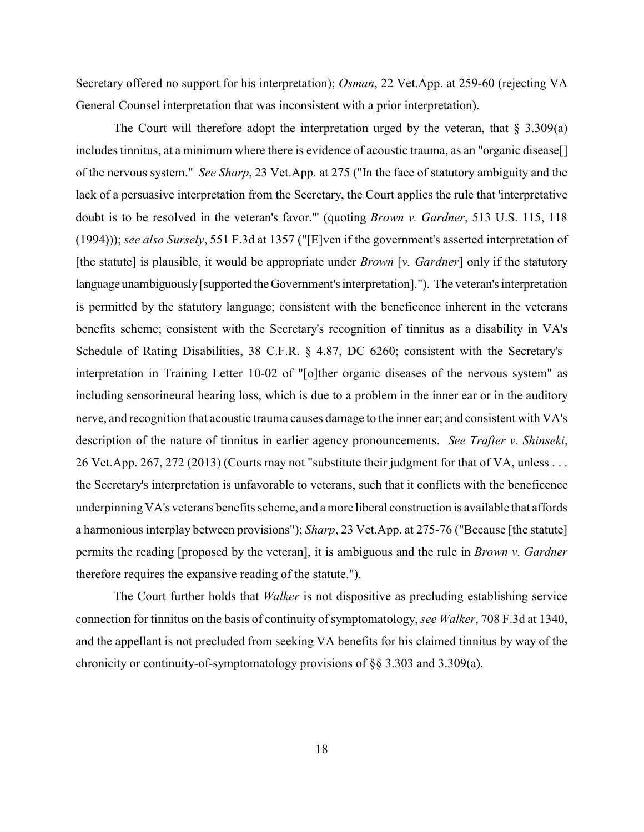Secretary offered no support for his interpretation); *Osman*, 22 Vet.App. at 259-60 (rejecting VA General Counsel interpretation that was inconsistent with a prior interpretation).

The Court will therefore adopt the interpretation urged by the veteran, that  $\S 3.309(a)$ includes tinnitus, at a minimum where there is evidence of acoustic trauma, as an "organic disease[] of the nervous system." *See Sharp*, 23 Vet.App. at 275 ("In the face of statutory ambiguity and the lack of a persuasive interpretation from the Secretary, the Court applies the rule that 'interpretative doubt is to be resolved in the veteran's favor.'" (quoting *Brown v. Gardner*, 513 U.S. 115, 118 (1994))); *see also Sursely*, 551 F.3d at 1357 ("[E]ven if the government's asserted interpretation of [the statute] is plausible, it would be appropriate under *Brown* [*v. Gardner*] only if the statutory language unambiguously[supported theGovernment's interpretation]."). The veteran's interpretation is permitted by the statutory language; consistent with the beneficence inherent in the veterans benefits scheme; consistent with the Secretary's recognition of tinnitus as a disability in VA's Schedule of Rating Disabilities, 38 C.F.R. § 4.87, DC 6260; consistent with the Secretary's interpretation in Training Letter 10-02 of "[o]ther organic diseases of the nervous system" as including sensorineural hearing loss, which is due to a problem in the inner ear or in the auditory nerve, and recognition that acoustic trauma causes damage to the inner ear; and consistent with VA's description of the nature of tinnitus in earlier agency pronouncements. *See Trafter v. Shinseki*, 26 Vet.App. 267, 272 (2013) (Courts may not "substitute their judgment for that of VA, unless . . . the Secretary's interpretation is unfavorable to veterans, such that it conflicts with the beneficence underpinningVA's veterans benefits scheme, and a more liberal construction is available that affords a harmonious interplay between provisions"); *Sharp*, 23 Vet.App. at 275-76 ("Because [the statute] permits the reading [proposed by the veteran], it is ambiguous and the rule in *Brown v. Gardner* therefore requires the expansive reading of the statute.").

The Court further holds that *Walker* is not dispositive as precluding establishing service connection for tinnitus on the basis of continuity of symptomatology, *see Walker*, 708 F.3d at 1340, and the appellant is not precluded from seeking VA benefits for his claimed tinnitus by way of the chronicity or continuity-of-symptomatology provisions of  $\S$ § 3.303 and 3.309(a).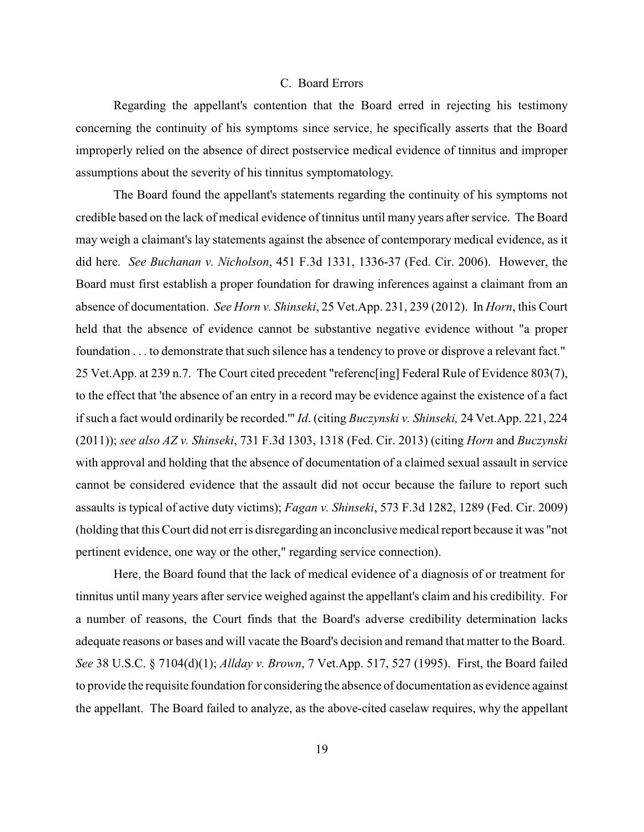## C. Board Errors

Regarding the appellant's contention that the Board erred in rejecting his testimony concerning the continuity of his symptoms since service, he specifically asserts that the Board improperly relied on the absence of direct postservice medical evidence of tinnitus and improper assumptions about the severity of his tinnitus symptomatology.

The Board found the appellant's statements regarding the continuity of his symptoms not credible based on the lack of medical evidence of tinnitus until many years after service. The Board may weigh a claimant's lay statements against the absence of contemporary medical evidence, as it did here. *See Buchanan v. Nicholson*, 451 F.3d 1331, 1336-37 (Fed. Cir. 2006). However, the Board must first establish a proper foundation for drawing inferences against a claimant from an absence of documentation. *See Horn v. Shinseki*, 25 Vet.App. 231, 239 (2012). In *Horn*, this Court held that the absence of evidence cannot be substantive negative evidence without "a proper foundation . . . to demonstrate that such silence has a tendency to prove or disprove a relevant fact." 25 Vet.App. at 239 n.7. The Court cited precedent "referenc[ing] Federal Rule of Evidence 803(7), to the effect that 'the absence of an entry in a record may be evidence against the existence of a fact if such a fact would ordinarily be recorded.'" *Id*. (citing *Buczynski v. Shinseki,* 24 Vet.App. 221, 224 (2011)); *see also AZ v. Shinseki*, 731 F.3d 1303, 1318 (Fed. Cir. 2013) (citing *Horn* and *Buczynski* with approval and holding that the absence of documentation of a claimed sexual assault in service cannot be considered evidence that the assault did not occur because the failure to report such assaults is typical of active duty victims); *Fagan v. Shinseki*, 573 F.3d 1282, 1289 (Fed. Cir. 2009) (holding that this Court did not erris disregarding an inconclusive medical report because it was "not pertinent evidence, one way or the other," regarding service connection).

Here, the Board found that the lack of medical evidence of a diagnosis of or treatment for tinnitus until many years after service weighed against the appellant's claim and his credibility. For a number of reasons, the Court finds that the Board's adverse credibility determination lacks adequate reasons or bases and will vacate the Board's decision and remand that matter to the Board. *See* 38 U.S.C. § 7104(d)(1); *Allday v. Brown*, 7 Vet.App. 517, 527 (1995). First, the Board failed to provide the requisite foundation for considering the absence of documentation as evidence against the appellant. The Board failed to analyze, as the above-cited caselaw requires, why the appellant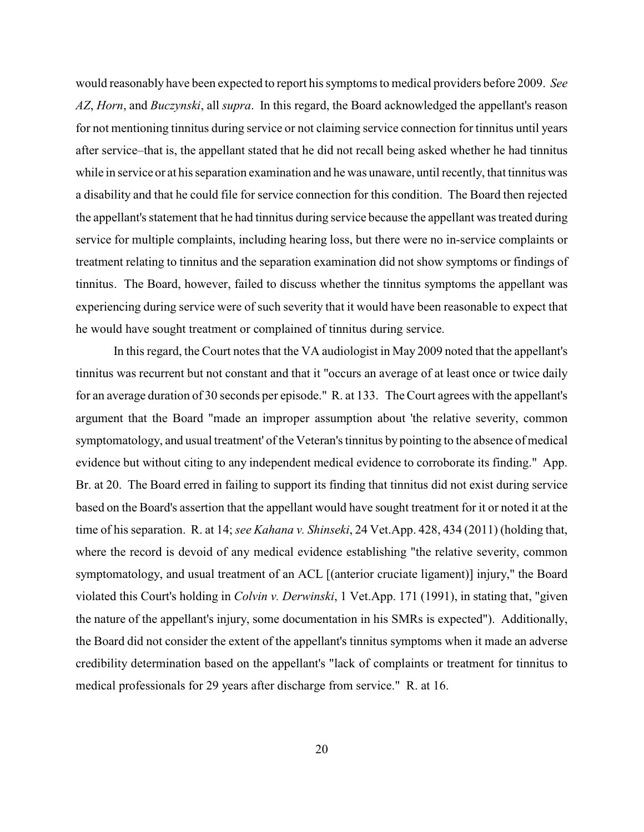would reasonably have been expected to report his symptoms to medical providers before 2009. *See AZ*, *Horn*, and *Buczynski*, all *supra*. In this regard, the Board acknowledged the appellant's reason for not mentioning tinnitus during service or not claiming service connection for tinnitus until years after service–that is, the appellant stated that he did not recall being asked whether he had tinnitus while in service or at his separation examination and he was unaware, until recently, that tinnitus was a disability and that he could file for service connection for this condition. The Board then rejected the appellant's statement that he had tinnitus during service because the appellant was treated during service for multiple complaints, including hearing loss, but there were no in-service complaints or treatment relating to tinnitus and the separation examination did not show symptoms or findings of tinnitus. The Board, however, failed to discuss whether the tinnitus symptoms the appellant was experiencing during service were of such severity that it would have been reasonable to expect that he would have sought treatment or complained of tinnitus during service.

In this regard, the Court notes that the VA audiologist in May 2009 noted that the appellant's tinnitus was recurrent but not constant and that it "occurs an average of at least once or twice daily for an average duration of 30 seconds per episode." R. at 133. The Court agrees with the appellant's argument that the Board "made an improper assumption about 'the relative severity, common symptomatology, and usual treatment' of the Veteran's tinnitus by pointing to the absence of medical evidence but without citing to any independent medical evidence to corroborate its finding." App. Br. at 20. The Board erred in failing to support its finding that tinnitus did not exist during service based on the Board's assertion that the appellant would have sought treatment for it or noted it at the time of his separation. R. at 14; *see Kahana v. Shinseki*, 24 Vet.App. 428, 434 (2011) (holding that, where the record is devoid of any medical evidence establishing "the relative severity, common symptomatology, and usual treatment of an ACL [(anterior cruciate ligament)] injury," the Board violated this Court's holding in *Colvin v. Derwinski*, 1 Vet.App. 171 (1991), in stating that, "given the nature of the appellant's injury, some documentation in his SMRs is expected"). Additionally, the Board did not consider the extent of the appellant's tinnitus symptoms when it made an adverse credibility determination based on the appellant's "lack of complaints or treatment for tinnitus to medical professionals for 29 years after discharge from service." R. at 16.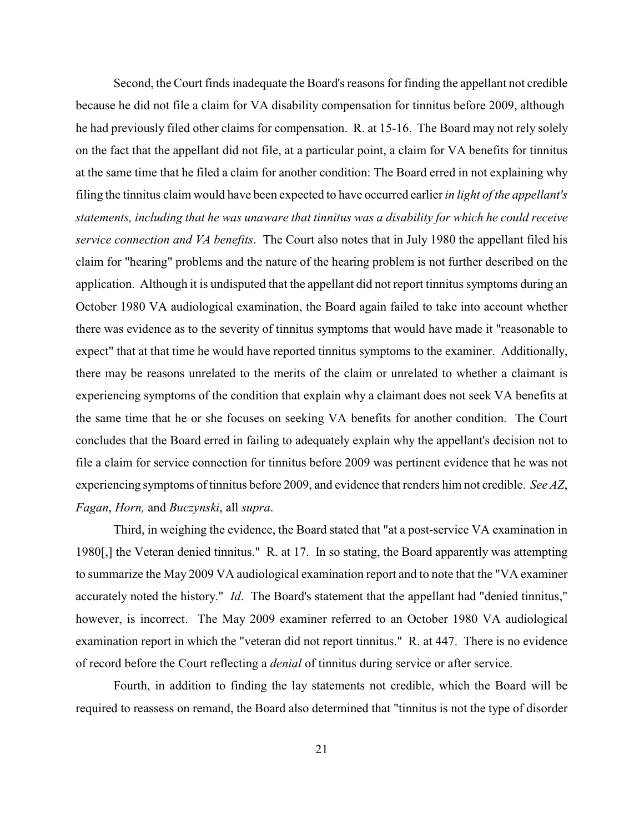Second, the Court finds inadequate the Board's reasons for finding the appellant not credible because he did not file a claim for VA disability compensation for tinnitus before 2009, although he had previously filed other claims for compensation. R. at 15-16. The Board may not rely solely on the fact that the appellant did not file, at a particular point, a claim for VA benefits for tinnitus at the same time that he filed a claim for another condition: The Board erred in not explaining why filing the tinnitus claim would have been expected to have occurred earlier *in light of the appellant's statements, including that he was unaware that tinnitus was a disability for which he could receive service connection and VA benefits*. The Court also notes that in July 1980 the appellant filed his claim for "hearing" problems and the nature of the hearing problem is not further described on the application. Although it is undisputed that the appellant did not report tinnitus symptoms during an October 1980 VA audiological examination, the Board again failed to take into account whether there was evidence as to the severity of tinnitus symptoms that would have made it "reasonable to expect" that at that time he would have reported tinnitus symptoms to the examiner. Additionally, there may be reasons unrelated to the merits of the claim or unrelated to whether a claimant is experiencing symptoms of the condition that explain why a claimant does not seek VA benefits at the same time that he or she focuses on seeking VA benefits for another condition. The Court concludes that the Board erred in failing to adequately explain why the appellant's decision not to file a claim for service connection for tinnitus before 2009 was pertinent evidence that he was not experiencing symptoms of tinnitus before 2009, and evidence that renders him not credible. *See AZ*, *Fagan*, *Horn,* and *Buczynski*, all *supra*.

Third, in weighing the evidence, the Board stated that "at a post-service VA examination in 1980[,] the Veteran denied tinnitus." R. at 17. In so stating, the Board apparently was attempting to summarize the May 2009 VA audiological examination report and to note that the "VA examiner accurately noted the history." *Id*. The Board's statement that the appellant had "denied tinnitus," however, is incorrect. The May 2009 examiner referred to an October 1980 VA audiological examination report in which the "veteran did not report tinnitus." R. at 447. There is no evidence of record before the Court reflecting a *denial* of tinnitus during service or after service.

Fourth, in addition to finding the lay statements not credible, which the Board will be required to reassess on remand, the Board also determined that "tinnitus is not the type of disorder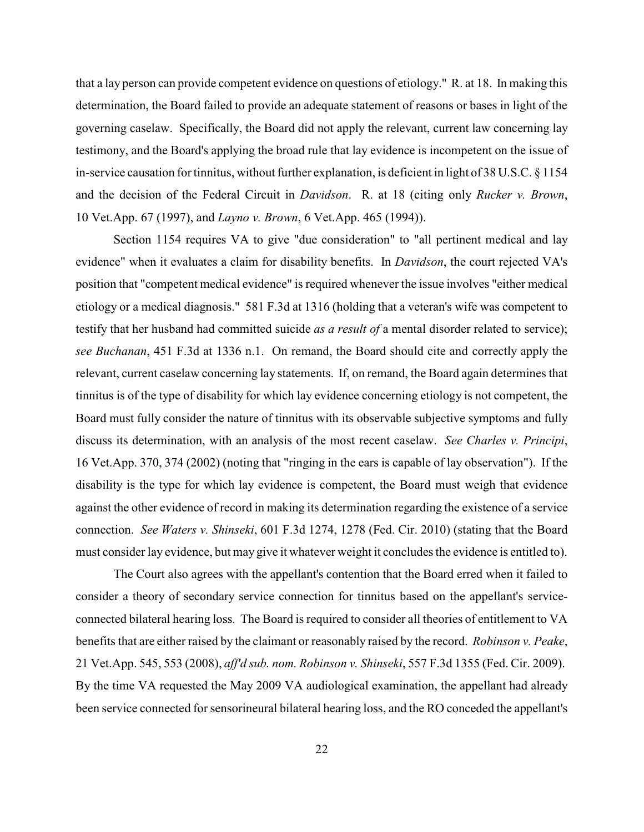that a lay person can provide competent evidence on questions of etiology." R. at 18. In making this determination, the Board failed to provide an adequate statement of reasons or bases in light of the governing caselaw. Specifically, the Board did not apply the relevant, current law concerning lay testimony, and the Board's applying the broad rule that lay evidence is incompetent on the issue of in-service causation for tinnitus, without further explanation, is deficient in light of 38 U.S.C. § 1154 and the decision of the Federal Circuit in *Davidson*. R. at 18 (citing only *Rucker v. Brown*, 10 Vet.App. 67 (1997), and *Layno v. Brown*, 6 Vet.App. 465 (1994)).

Section 1154 requires VA to give "due consideration" to "all pertinent medical and lay evidence" when it evaluates a claim for disability benefits. In *Davidson*, the court rejected VA's position that "competent medical evidence" is required whenever the issue involves "either medical etiology or a medical diagnosis." 581 F.3d at 1316 (holding that a veteran's wife was competent to testify that her husband had committed suicide *as a result of* a mental disorder related to service); *see Buchanan*, 451 F.3d at 1336 n.1. On remand, the Board should cite and correctly apply the relevant, current caselaw concerning lay statements. If, on remand, the Board again determines that tinnitus is of the type of disability for which lay evidence concerning etiology is not competent, the Board must fully consider the nature of tinnitus with its observable subjective symptoms and fully discuss its determination, with an analysis of the most recent caselaw. *See Charles v. Principi*, 16 Vet.App. 370, 374 (2002) (noting that "ringing in the ears is capable of lay observation"). If the disability is the type for which lay evidence is competent, the Board must weigh that evidence against the other evidence of record in making its determination regarding the existence of a service connection. *See Waters v. Shinseki*, 601 F.3d 1274, 1278 (Fed. Cir. 2010) (stating that the Board must consider lay evidence, but may give it whatever weight it concludes the evidence is entitled to).

The Court also agrees with the appellant's contention that the Board erred when it failed to consider a theory of secondary service connection for tinnitus based on the appellant's serviceconnected bilateral hearing loss. The Board is required to consider all theories of entitlement to VA benefits that are either raised by the claimant or reasonably raised by the record. *Robinson v. Peake*, 21 Vet.App. 545, 553 (2008), *aff'd sub. nom. Robinson v. Shinseki*, 557 F.3d 1355 (Fed. Cir. 2009). By the time VA requested the May 2009 VA audiological examination, the appellant had already been service connected for sensorineural bilateral hearing loss, and the RO conceded the appellant's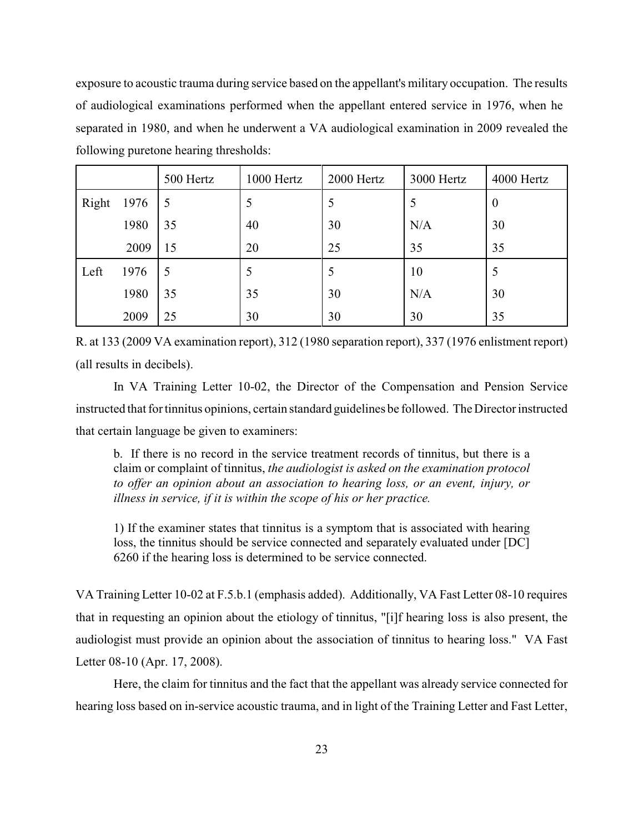exposure to acoustic trauma during service based on the appellant's military occupation. The results of audiological examinations performed when the appellant entered service in 1976, when he separated in 1980, and when he underwent a VA audiological examination in 2009 revealed the following puretone hearing thresholds:

|       |      | 500 Hertz | 1000 Hertz | 2000 Hertz | 3000 Hertz | 4000 Hertz       |
|-------|------|-----------|------------|------------|------------|------------------|
| Right | 1976 | 5         | 5          | 5          |            | $\boldsymbol{0}$ |
|       | 1980 | 35        | 40         | 30         | N/A        | 30               |
|       | 2009 | 15        | 20         | 25         | 35         | 35               |
| Left  | 1976 | 5         | 5          | 5          | 10         |                  |
|       | 1980 | 35        | 35         | 30         | N/A        | 30               |
|       | 2009 | 25        | 30         | 30         | 30         | 35               |

R. at 133 (2009 VA examination report), 312 (1980 separation report), 337 (1976 enlistment report) (all results in decibels).

In VA Training Letter 10-02, the Director of the Compensation and Pension Service instructed that for tinnitus opinions, certain standard guidelines be followed. The Director instructed that certain language be given to examiners:

b. If there is no record in the service treatment records of tinnitus, but there is a claim or complaint of tinnitus, *the audiologist is asked on the examination protocol to offer an opinion about an association to hearing loss, or an event, injury, or illness in service, if it is within the scope of his or her practice.*

1) If the examiner states that tinnitus is a symptom that is associated with hearing loss, the tinnitus should be service connected and separately evaluated under [DC] 6260 if the hearing loss is determined to be service connected.

VA Training Letter 10-02 at F.5.b.1 (emphasis added). Additionally, VA Fast Letter 08-10 requires that in requesting an opinion about the etiology of tinnitus, "[i]f hearing loss is also present, the audiologist must provide an opinion about the association of tinnitus to hearing loss." VA Fast Letter 08-10 (Apr. 17, 2008).

Here, the claim for tinnitus and the fact that the appellant was already service connected for hearing loss based on in-service acoustic trauma, and in light of the Training Letter and Fast Letter,